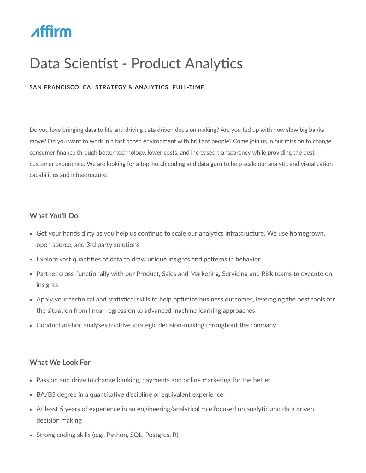# **Affirm**

# Data Scientist - Product Analytics

## **SAN FRANCISCO, CA STRATEGY & ANALYTICS FULL‐TIME**

Do you love bringing data to life and driving data driven decision making? Are you fed up with how slow big banks move? Do you want to work in a fast paced environment with brilliant people? Come join us in our mission to change consumer finance through better technology, lower costs, and increased transparency while providing the best customer experience. We are looking for a top-notch coding and data guru to help scale our analytic and visualization capabilities and infrastructure.

#### **What You'll Do**

- Get your hands dirty as you help us continue to scale our analytics infrastructure. We use homegrown, open source, and 3rd party solutions
- Explore vast quantities of data to draw unique insights and patterns in behavior
- Partner cross-functionally with our Product, Sales and Marketing, Servicing and Risk teams to execute on insights
- Apply your technical and statistical skills to help optimize business outcomes, leveraging the best tools for the situation from linear regression to advanced machine learning approaches
- Conduct ad-hoc analyses to drive strategic decision-making throughout the company

## **What We Look For**

- Passion and drive to change banking, payments and online marketing for the better
- BA/BS degree in a quantitative discipline or equivalent experience
- At least 5 years of experience in an engineering/analytical role focused on analytic and data driven decision making
- Strong coding skills (e.g., Python, SQL, Postgres, R)